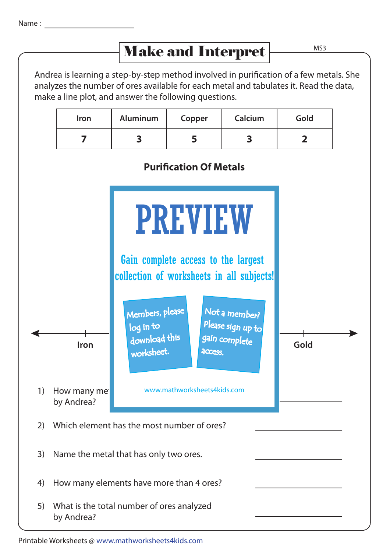## Make and Interpret

MS3

| <b>Iron</b> | <b>Aluminum</b> | Copper | Calcium | Gold |
|-------------|-----------------|--------|---------|------|
|             |                 |        |         |      |

## **Purification Of Metals**



Printable Worksheets @ www.mathworksheets4kids.com